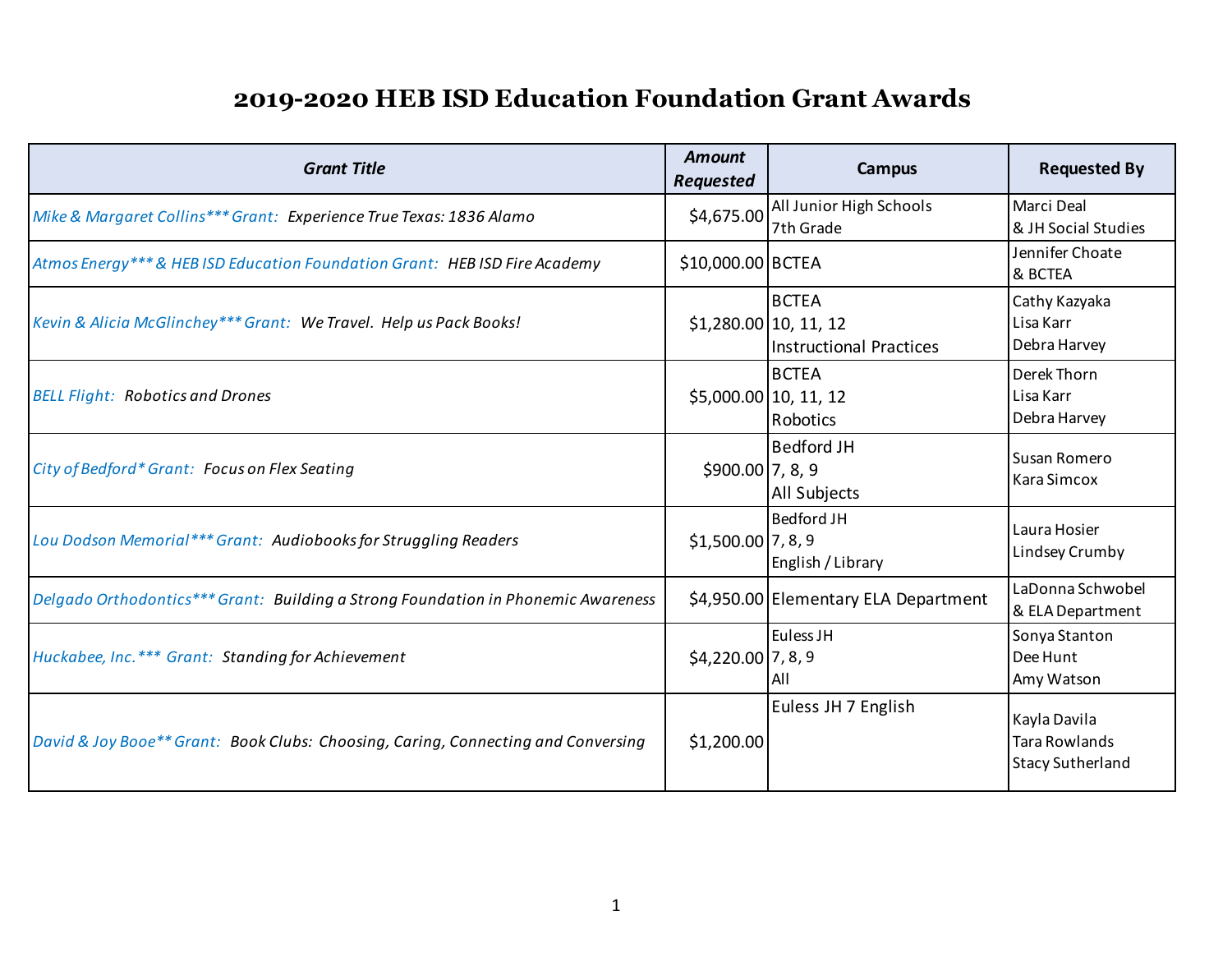| <b>Grant Title</b>                                                                | <b>Amount</b><br><b>Requested</b> | Campus                                                                        | <b>Requested By</b>                                             |
|-----------------------------------------------------------------------------------|-----------------------------------|-------------------------------------------------------------------------------|-----------------------------------------------------------------|
| Mike & Margaret Collins*** Grant: Experience True Texas: 1836 Alamo               | \$4,675.00                        | All Junior High Schools<br>7th Grade                                          | Marci Deal<br>& JH Social Studies                               |
| Atmos Energy*** & HEB ISD Education Foundation Grant: HEB ISD Fire Academy        | \$10,000.00 BCTEA                 |                                                                               | Jennifer Choate<br>& BCTEA                                      |
| Kevin & Alicia McGlinchey*** Grant: We Travel. Help us Pack Books!                |                                   | <b>BCTEA</b><br>$$1,280.00 \,   10, 11, 12$<br><b>Instructional Practices</b> | Cathy Kazyaka<br>Lisa Karr<br>Debra Harvey                      |
| <b>BELL Flight: Robotics and Drones</b>                                           | $$5,000.00 \, 10, 11, 12$         | <b>BCTEA</b><br>Robotics                                                      | Derek Thorn<br>Lisa Karr<br>Debra Harvey                        |
| City of Bedford* Grant: Focus on Flex Seating                                     | \$900.00 7, 8, 9                  | <b>Bedford JH</b><br>All Subjects                                             | Susan Romero<br>Kara Simcox                                     |
| Lou Dodson Memorial*** Grant: Audiobooks for Struggling Readers                   | $$1,500.00$ 7, 8, 9               | <b>Bedford JH</b><br>English / Library                                        | Laura Hosier<br>Lindsey Crumby                                  |
| Delgado Orthodontics*** Grant: Building a Strong Foundation in Phonemic Awareness |                                   | \$4,950.00 Elementary ELA Department                                          | LaDonna Schwobel<br>& ELA Department                            |
| Huckabee, Inc.*** Grant: Standing for Achievement                                 | \$4,220.00 7, 8, 9                | Euless JH<br>All                                                              | Sonya Stanton<br>Dee Hunt<br>Amy Watson                         |
| David & Joy Booe** Grant: Book Clubs: Choosing, Caring, Connecting and Conversing | \$1,200.00                        | Euless JH 7 English                                                           | Kayla Davila<br><b>Tara Rowlands</b><br><b>Stacy Sutherland</b> |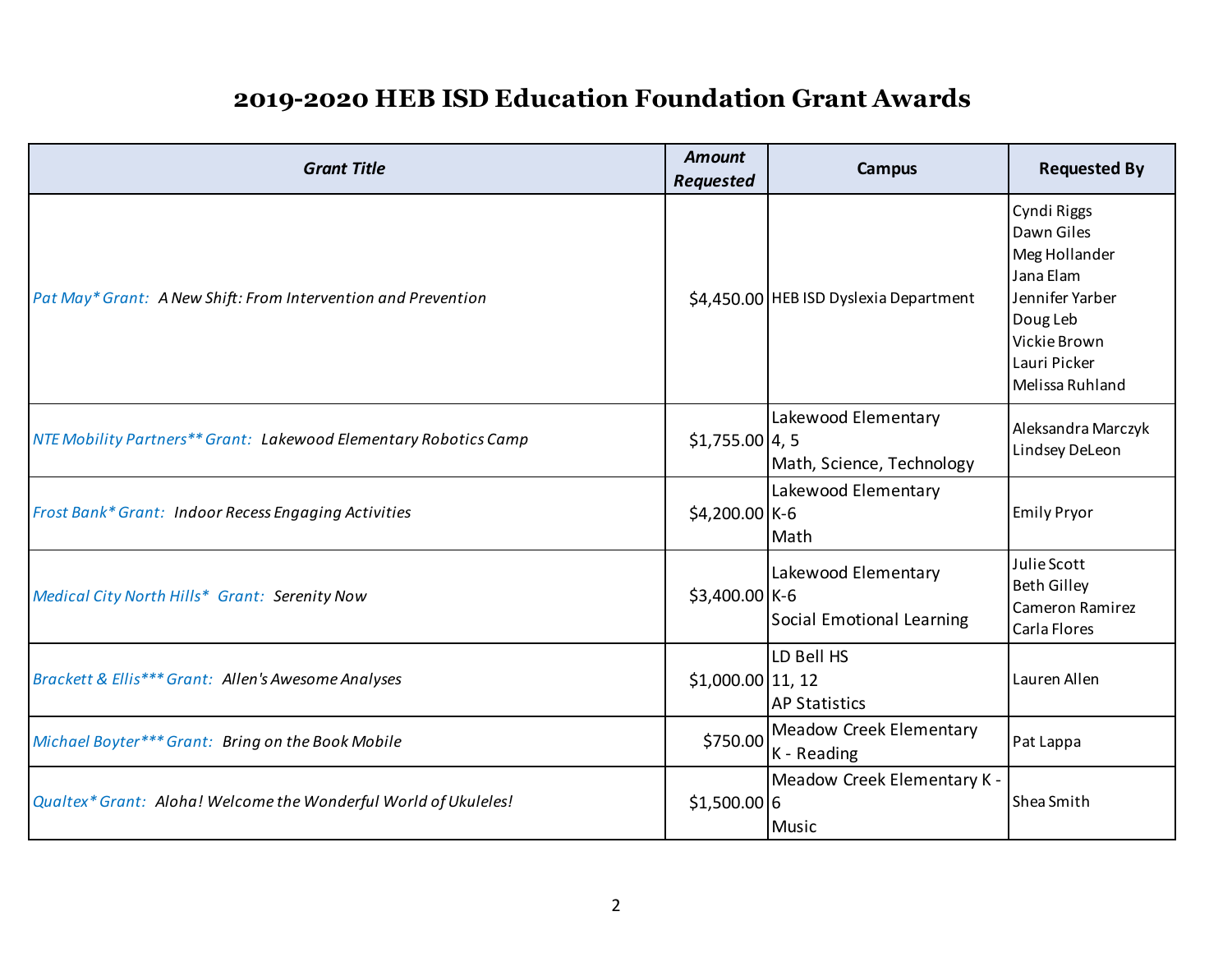| <b>Grant Title</b>                                               | <b>Amount</b><br><b>Requested</b> | <b>Campus</b>                                    | <b>Requested By</b>                                                                                                                       |
|------------------------------------------------------------------|-----------------------------------|--------------------------------------------------|-------------------------------------------------------------------------------------------------------------------------------------------|
| Pat May* Grant: A New Shift: From Intervention and Prevention    |                                   | \$4,450.00 HEB ISD Dyslexia Department           | Cyndi Riggs<br>Dawn Giles<br>Meg Hollander<br>Jana Elam<br>Jennifer Yarber<br>Doug Leb<br>Vickie Brown<br>Lauri Picker<br>Melissa Ruhland |
| NTE Mobility Partners** Grant: Lakewood Elementary Robotics Camp | $$1,755.00$ 4, 5                  | Lakewood Elementary<br>Math, Science, Technology | Aleksandra Marczyk<br>Lindsey DeLeon                                                                                                      |
| Frost Bank* Grant: Indoor Recess Engaging Activities             | $$4,200.00$ K-6                   | Lakewood Elementary<br>Math                      | <b>Emily Pryor</b>                                                                                                                        |
| Medical City North Hills* Grant: Serenity Now                    | \$3,400.00 K-6                    | Lakewood Elementary<br>Social Emotional Learning | Julie Scott<br><b>Beth Gilley</b><br><b>Cameron Ramirez</b><br>Carla Flores                                                               |
| Brackett & Ellis*** Grant: Allen's Awesome Analyses              | $$1,000.00$ 11, 12                | LD Bell HS<br><b>AP Statistics</b>               | Lauren Allen                                                                                                                              |
| Michael Boyter*** Grant: Bring on the Book Mobile                | \$750.00                          | <b>Meadow Creek Elementary</b><br>K - Reading    | Pat Lappa                                                                                                                                 |
| Qualtex* Grant: Aloha! Welcome the Wonderful World of Ukuleles!  | $$1,500.00$ 6                     | Meadow Creek Elementary K -<br>Music             | Shea Smith                                                                                                                                |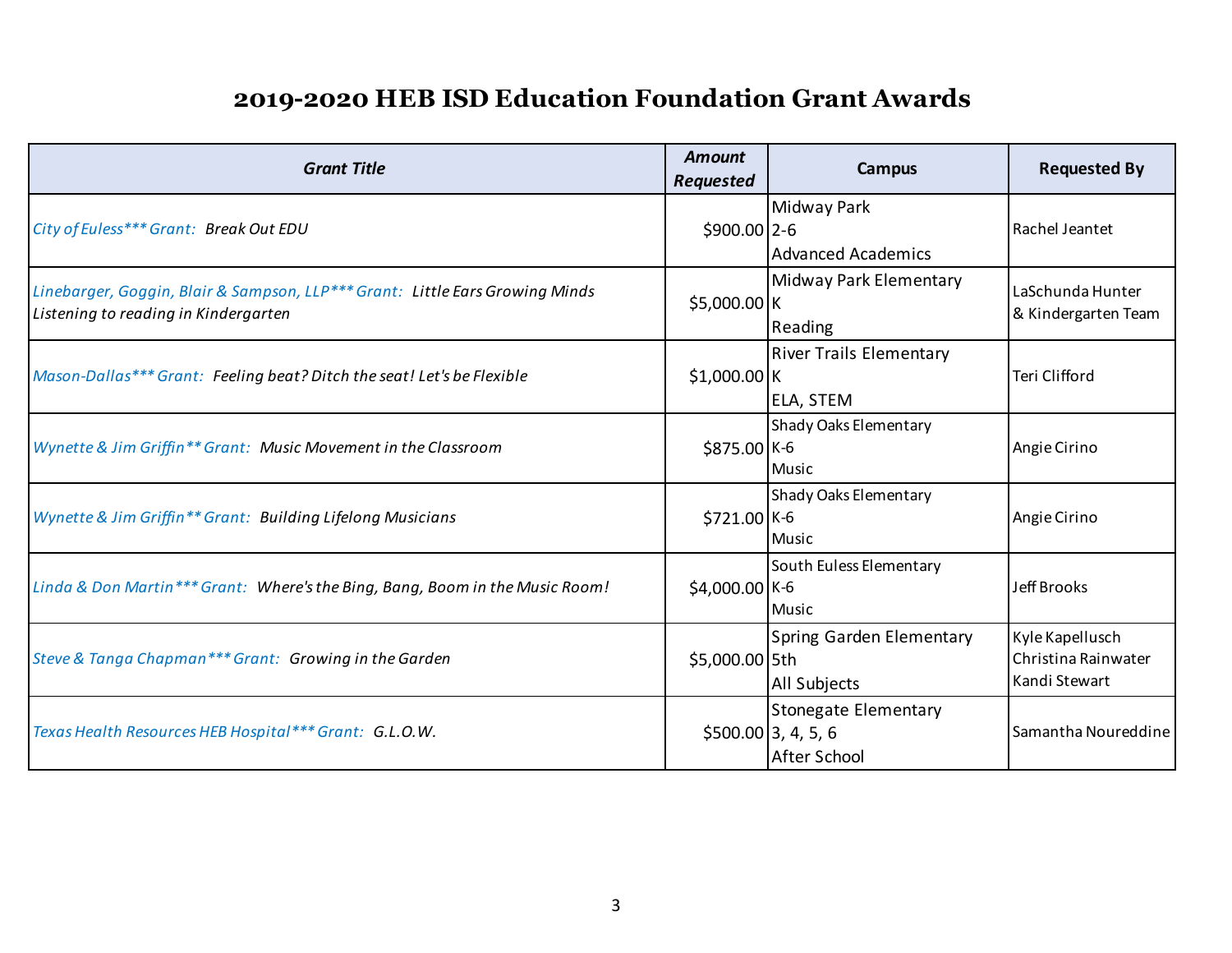| <b>Grant Title</b>                                                                                                               | <b>Amount</b><br><b>Requested</b> | Campus                                                       | <b>Requested By</b>                                     |
|----------------------------------------------------------------------------------------------------------------------------------|-----------------------------------|--------------------------------------------------------------|---------------------------------------------------------|
| City of Euless*** Grant: Break Out EDU                                                                                           | $$900.00$ 2-6                     | <b>Midway Park</b><br><b>Advanced Academics</b>              | Rachel Jeantet                                          |
| Linebarger, Goggin, Blair & Sampson, LLP <sup>***</sup> Grant: Little Ears Growing Minds<br>Listening to reading in Kindergarten | \$5,000.00 K                      | Midway Park Elementary<br>Reading                            | LaSchunda Hunter<br>& Kindergarten Team                 |
| Mason-Dallas*** Grant: Feeling beat? Ditch the seat! Let's be Flexible                                                           | $$1,000.00$ K                     | <b>River Trails Elementary</b><br>ELA, STEM                  | Teri Clifford                                           |
| Wynette & Jim Griffin** Grant: Music Movement in the Classroom                                                                   | \$875.00 K-6                      | Shady Oaks Elementary<br>Music                               | Angie Cirino                                            |
| Wynette & Jim Griffin** Grant: Building Lifelong Musicians                                                                       | \$721.00 K-6                      | Shady Oaks Elementary<br>Music                               | Angie Cirino                                            |
| Linda & Don Martin*** Grant: Where's the Bing, Bang, Boom in the Music Room!                                                     | \$4,000.00 K-6                    | South Euless Elementary<br><b>Music</b>                      | Jeff Brooks                                             |
| Steve & Tanga Chapman*** Grant: Growing in the Garden                                                                            | \$5,000.00 5th                    | Spring Garden Elementary<br>All Subjects                     | Kyle Kapellusch<br>Christina Rainwater<br>Kandi Stewart |
| Texas Health Resources HEB Hospital*** Grant: G.L.O.W.                                                                           |                                   | Stonegate Elementary<br>$$500.00$ 3, 4, 5, 6<br>After School | Samantha Noureddine                                     |